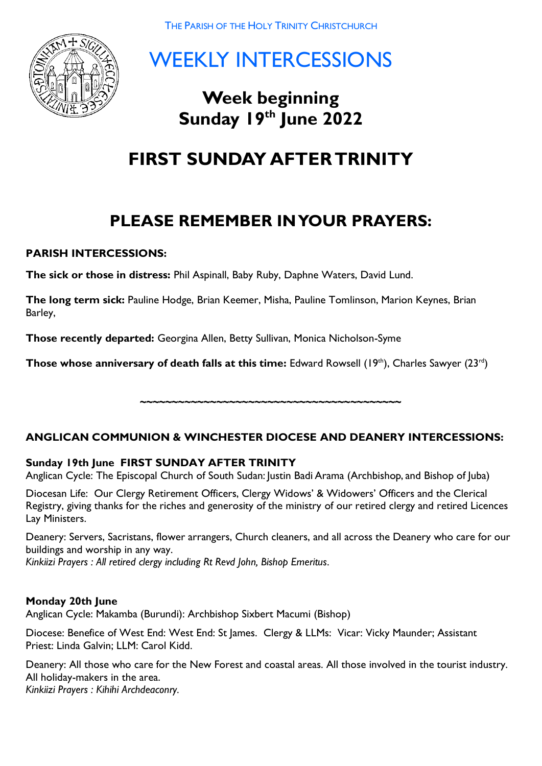

WEEKLY INTERCESSIONS

# **Week beginning Sunday 19 th June 2022**

# **FIRST SUNDAY AFTER TRINITY**

## **PLEASE REMEMBER IN YOUR PRAYERS:**

## **PARISH INTERCESSIONS:**

**The sick or those in distress:** Phil Aspinall, Baby Ruby, Daphne Waters, David Lund.

**The long term sick:** Pauline Hodge, Brian Keemer, Misha, Pauline Tomlinson, Marion Keynes, Brian Barley,

**Those recently departed:** Georgina Allen, Betty Sullivan, Monica Nicholson-Syme

**Those whose anniversary of death falls at this time:** Edward Rowsell (19<sup>th</sup>), Charles Sawyer (23<sup>rd</sup>)

## **ANGLICAN COMMUNION & WINCHESTER DIOCESE AND DEANERY INTERCESSIONS:**

**~~~~~~~~~~~~~~~~~~~~~~~~~~~~~~~~~~~~~~~~~**

## **Sunday 19th June FIRST SUNDAY AFTER TRINITY**

Anglican Cycle: The Episcopal Church of South Sudan: Justin Badi Arama (Archbishop, and Bishop of Juba)

Diocesan Life: Our Clergy Retirement Officers, Clergy Widows' & Widowers' Officers and the Clerical Registry, giving thanks for the riches and generosity of the ministry of our retired clergy and retired Licences Lay Ministers.

Deanery: Servers, Sacristans, flower arrangers, Church cleaners, and all across the Deanery who care for our buildings and worship in any way.

*Kinkiizi Prayers : All retired clergy including Rt Revd John, Bishop Emeritus.*

#### **Monday 20th June**

Anglican Cycle: Makamba (Burundi): Archbishop Sixbert Macumi (Bishop) Ĩ.

Diocese: Benefice of West End: West End: St James. Clergy & LLMs: Vicar: Vicky Maunder; Assistant Priest: Linda Galvin; LLM: Carol Kidd.

Deanery: All those who care for the New Forest and coastal areas. All those involved in the tourist industry. All holiday-makers in the area.

*Kinkiizi Prayers : Kihihi Archdeaconry.*